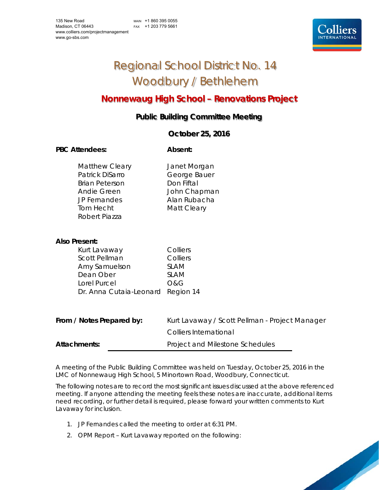MAIN +1 860 395 0055 FAX +1 203 779 5661



# Regional School District No. 14 Woodbury / Bethlehem

## **Nonnewaug High School – Renovations Project**

### **Public Building Committee Meeting**

### **October 25, 2016**

### PBC Attendees: **Absent: Absent:**

Matthew Cleary **Janet Morgan** Patrick DiSarro **George Bauer** Brian Peterson Don Fiftal Andie Green John Chapman JP Fernandes Alan Rubacha Tom Hecht Matt Cleary Robert Piazza

### **Also Present:**

| Kurt Lavaway                      | Colliers       |
|-----------------------------------|----------------|
| <b>Scott Pellman</b>              | Colliers       |
| Amy Samuelson                     | <b>SLAM</b>    |
| Dean Ober                         | <b>SLAM</b>    |
| Lorel Purcel                      | <b>O&amp;G</b> |
| Dr. Anna Cutaia-Leonard Region 14 |                |

| From / Notes Prepared by: | Kurt Lavaway / Scott Pellman - Project Manager |
|---------------------------|------------------------------------------------|
|                           | Colliers International                         |
| Attachments:              | Project and Milestone Schedules                |

A meeting of the Public Building Committee was held on Tuesday, October 25, 2016 in the LMC of Nonnewaug High School, 5 Minortown Road, Woodbury, Connecticut.

The following notes are to record the most significant issues discussed at the above referenced meeting. If anyone attending the meeting feels these notes are inaccurate, additional items need recording, or further detail is required, please forward your written comments to Kurt Lavaway for inclusion.

- 1. JP Fernandes called the meeting to order at 6:31 PM.
- 2. OPM Report Kurt Lavaway reported on the following: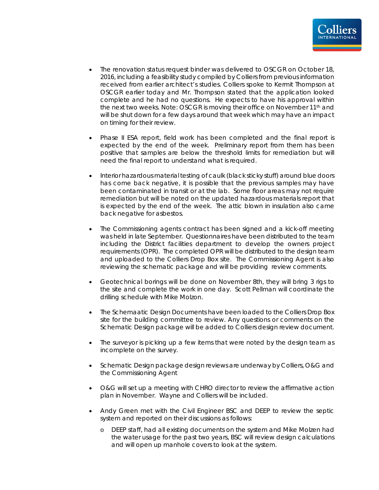

- The renovation status request binder was delivered to OSCGR on October 18, 2016, including a feasibility study compiled by Colliers from previous information received from earlier architect's studies. Colliers spoke to Kermit Thompson at OSCGR earlier today and Mr. Thompson stated that the application looked complete and he had no questions. He expects to have his approval within the next two weeks. Note: OSCGR is moving their office on November 11<sup>th</sup> and will be shut down for a few days around that week which may have an impact on timing for their review.
- Phase II ESA report, field work has been completed and the final report is expected by the end of the week. Preliminary report from them has been positive that samples are below the threshold limits for remediation but will need the final report to understand what is required.
- Interior hazardous material testing of caulk (black sticky stuff) around blue doors has come back negative, it is possible that the previous samples may have been contaminated in transit or at the lab. Some floor areas may not require remediation but will be noted on the updated hazardous materials report that is expected by the end of the week. The attic blown in insulation also came back negative for asbestos.
- The Commissioning agents contract has been signed and a kick-off meeting was held in late September. Questionnaires have been distributed to the team including the District facilities department to develop the owners project requirements (OPR). The completed OPR will be distributed to the design team and uploaded to the Colliers Drop Box site. The Commissioning Agent is also reviewing the schematic package and will be providing review comments.
- Geotechnical borings will be done on November 8th, they will bring 3 rigs to the site and complete the work in one day. Scott Pellman will coordinate the drilling schedule with Mike Molzon.
- The Schemaatic Design Documents have been loaded to the Colliers Drop Box site for the building committee to review. Any questions or comments on the Schematic Design package will be added to Colliers design review document.
- The surveyor is picking up a few items that were noted by the design team as incomplete on the survey.
- Schematic Design package design reviews are underway by Colliers, O&G and the Commissioning Agent
- O&G will set up a meeting with CHRO director to review the affirmative action plan in November. Wayne and Colliers will be included.
- Andy Green met with the Civil Engineer BSC and DEEP to review the septic system and reported on their discussions as follows:
	- o DEEP staff, had all existing documents on the system and Mike Molzen had the water usage for the past two years, BSC will review design calculations and will open up manhole covers to look at the system.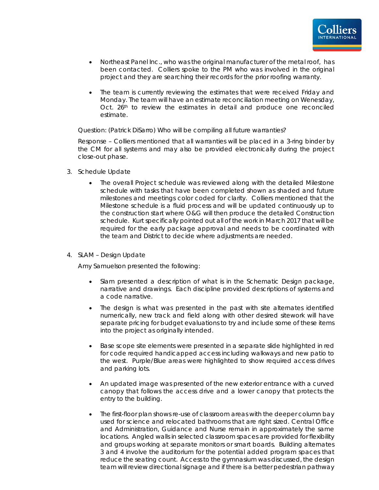

- Northeast Panel Inc., who was the original manufacturer of the metal roof, has been contacted. Colliers spoke to the PM who was involved in the original project and they are searching their records for the prior roofing warranty.
- The team is currently reviewing the estimates that were received Friday and Monday. The team will have an estimate reconciliation meeting on Wenesday, Oct. 26<sup>th</sup> to review the estimates in detail and produce one reconciled estimate.

Question: (Patrick DiSarro) Who will be compiling all future warranties?

Response – Colliers mentioned that all warranties will be placed in a 3-ring binder by the CM for all systems and may also be provided electronically during the project close-out phase.

- 3. Schedule Update
	- The overall Project schedule was reviewed along with the detailed Milestone schedule with tasks that have been completed shown as shaded and future milestones and meetings color coded for clarity. Colliers mentioned that the Milestone schedule is a fluid process and will be updated continuously up to the construction start where O&G will then produce the detailed Construction schedule. Kurt specifically pointed out all of the work in March 2017 that will be required for the early package approval and needs to be coordinated with the team and District to decide where adjustments are needed.
- 4. SLAM Design Update

Amy Samuelson presented the following:

- Slam presented a description of what is in the Schematic Design package, narrative and drawings. Each discipline provided descriptions of systems and a code narrative.
- The design is what was presented in the past with site alternates identified numerically, new track and field along with other desired sitework will have separate pricing for budget evaluations to try and include some of these items into the project as originally intended.
- Base scope site elements were presented in a separate slide highlighted in red for code required handicapped access including walkways and new patio to the west. Purple/Blue areas were highlighted to show required access drives and parking lots.
- An updated image was presented of the new exterior entrance with a curved canopy that follows the access drive and a lower canopy that protects the entry to the building.
- The first-floor plan shows re-use of classroom areas with the deeper column bay used for science and relocated bathrooms that are right sized. Central Office and Administration, Guidance and Nurse remain in approximately the same locations. Angled walls in selected classroom spaces are provided for flexibility and groups working at separate monitors or smart boards. Building alternates 3 and 4 involve the auditorium for the potential added program spaces that reduce the seating count. Access to the gymnasium was discussed, the design team will review directional signage and if there is a better pedestrian pathway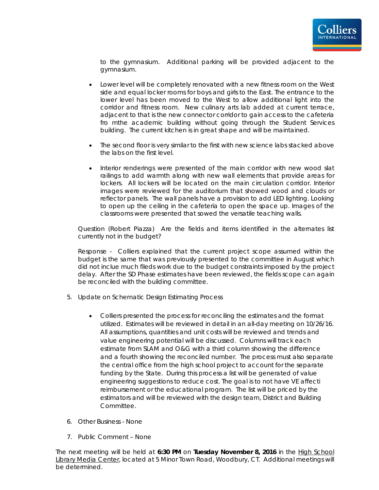

to the gymnasium. Additional parking will be provided adjacent to the gymnasium.

- Lower level will be completely renovated with a new fitness room on the West side and equal locker rooms for boys and girls to the East. The entrance to the lower level has been moved to the West to allow additional light into the corridor and fitness room. New culinary arts lab added at current terrace, adjacent to that is the new connector corridor to gain access to the cafeteria fro mthe academic building without going through the Student Services building. The current kitchen is in great shape and will be maintained.
- The second floor is very similar to the first with new science labs stacked above the labs on the first level.
- Interior renderings were presented of the main corridor with new wood slat railings to add warmth along with new wall elements that provide areas for lockers. All lockers will be located on the main circulation corridor. Interior images were reviewed for the auditorium that showed wood and clouds or reflector panels. The wall panels have a provision to add LED lighting. Looking to open up the ceiling in the cafeteria to open the space up. Images of the classrooms were presented that sowed the versatile teaching walls.

Question (Robert Piazza) Are the fields and items identified in the alternates list currently not in the budget?

Response - Colliers explained that the current project scope assumed within the budget is the same that was previously presented to the committee in August which did not inclue much fileds work due to the budget constraints imposed by the project delay. After the SD Phase estimates have been reviewed, the fields scope can again be reconciled with the building committee.

- 5. Update on Schematic Design Estimating Process
	- Colliers presented the process for reconciling the estimates and the format utilized. Estimates will be reviewed in detail in an all-day meeting on 10/26/16. All assumptions, quantities and unit costs will be reviewed and trends and value engineering potential will be discussed. Columns will track each estimate from SLAM and O&G with a third column showing the difference and a fourth showing the reconciled number. The process must also separate the central office from the high school project to account for the separate funding by the State. During this process a list will be generated of value engineering suggestions to reduce cost. The goal is to not have VE affecti reimbursement or the educational program. The list will be priced by the estimators and will be reviewed with the design team, District and Building Committee.
- 6. Other Business None
- 7. Public Comment None

The next meeting will be held at **6:30 PM** on **Tuesday November 8, 2016** in the High School Library Media Center, located at 5 Minor Town Road, Woodbury, CT. Additional meetings will be determined.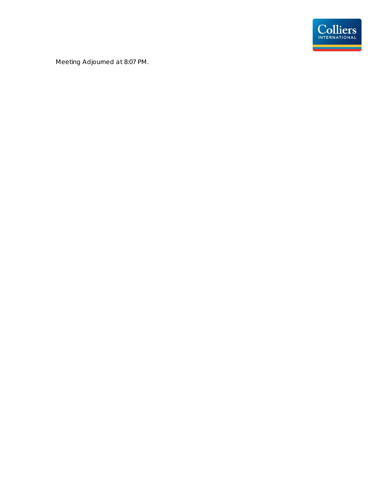

Meeting Adjourned at 8:07 PM.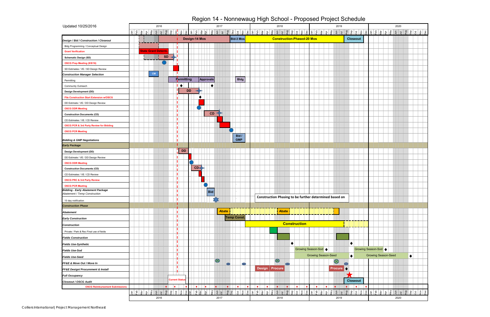| Updated 10/25/2016                                                  |                                                                                     |                                                                       |                           | 2016                |                       |                                               |            |                                                                           |                                |           |                      | 2017      |                   |                     |               |    |                                                                                     |                      | 2018                                                   |              |                     |                |                      |   |            |                                                                                                                                  |                     | 2019                   |             |                                               |                      |           |                                            |     |            |                      | 2020           |                                     |           |                  |
|---------------------------------------------------------------------|-------------------------------------------------------------------------------------|-----------------------------------------------------------------------|---------------------------|---------------------|-----------------------|-----------------------------------------------|------------|---------------------------------------------------------------------------|--------------------------------|-----------|----------------------|-----------|-------------------|---------------------|---------------|----|-------------------------------------------------------------------------------------|----------------------|--------------------------------------------------------|--------------|---------------------|----------------|----------------------|---|------------|----------------------------------------------------------------------------------------------------------------------------------|---------------------|------------------------|-------------|-----------------------------------------------|----------------------|-----------|--------------------------------------------|-----|------------|----------------------|----------------|-------------------------------------|-----------|------------------|
|                                                                     |                                                                                     | $\frac{1}{2}$ $\frac{1}{2}$ $\frac{1}{2}$ $\frac{1}{2}$ $\frac{1}{2}$ | $\frac{1}{2}$             | $\bar{z}$<br>∣ ਤੁ   |                       | $ \vec{z} $ $\frac{a}{b}$ $ \vec{z} $ $ \xi $ |            | $\frac{8}{9}$ $\frac{5}{9}$ $\frac{10}{10}$ $\frac{10}{9}$ $\frac{10}{9}$ |                                |           |                      |           |                   |                     |               |    |                                                                                     |                      | 들                                                      | Б            | gu<br>ခဲ့           | হ              | $\frac{8}{ }$<br>ec  |   |            | $\frac{1}{\sqrt{2}}$ $\left  \frac{1}{\sqrt{2}} \right $ $\left  \frac{1}{\sqrt{2}} \right $ $\left  \frac{1}{\sqrt{2}} \right $ | $\frac{1}{2}$       | 트<br>$\equiv$          |             | $\frac{4}{5}$<br>$\overline{\mathrm{S}}$      | $\tilde{S}$          | <b>BC</b> | $\overline{\overline{6}}$<br>ြင            | lar | Vely<br>۱Þ | $\epsilon$           | $\overline{B}$ | $\vert \overline{\mathbf{g}} \vert$ | ်ခို      | 8   <u>8</u>   8 |
| Design / Bid / Construction / Closeout                              |                                                                                     |                                                                       |                           |                     |                       |                                               |            | <b>Design-14 Mos</b>                                                      |                                |           |                      |           |                   | <b>Bid-3 Mos</b>    |               |    |                                                                                     |                      | <b>Construction-Phased-20 Mos</b>                      |              |                     |                |                      |   |            |                                                                                                                                  |                     |                        |             | <b>Closeout</b>                               |                      |           |                                            |     |            |                      |                |                                     |           |                  |
| Bldg Programming / Conceptual Design                                |                                                                                     |                                                                       |                           |                     |                       |                                               |            |                                                                           |                                |           |                      |           |                   |                     |               |    |                                                                                     |                      |                                                        |              |                     |                |                      |   |            |                                                                                                                                  |                     |                        |             |                                               |                      |           |                                            |     |            |                      |                |                                     |           |                  |
| <b>Grant Verification</b>                                           |                                                                                     |                                                                       | <b>State Grant Determ</b> |                     |                       |                                               |            |                                                                           |                                |           |                      |           |                   |                     |               |    |                                                                                     |                      |                                                        |              |                     |                |                      |   |            |                                                                                                                                  |                     |                        |             |                                               |                      |           |                                            |     |            |                      |                |                                     |           |                  |
| <b>Schematic Design (SD)</b>                                        |                                                                                     |                                                                       |                           |                     | <b>SD</b>             |                                               |            |                                                                           |                                |           |                      |           |                   |                     |               |    |                                                                                     |                      |                                                        |              |                     |                |                      |   |            |                                                                                                                                  |                     |                        |             |                                               |                      |           |                                            |     |            |                      |                |                                     |           |                  |
| OSCG Prep Meeting (8/9/16)                                          |                                                                                     |                                                                       |                           |                     |                       |                                               |            |                                                                           |                                |           |                      |           |                   |                     |               |    |                                                                                     |                      |                                                        |              |                     |                |                      |   |            |                                                                                                                                  |                     |                        |             |                                               |                      |           |                                            |     |            |                      |                |                                     |           |                  |
| SD Estimates / VE / SD Design Review                                |                                                                                     |                                                                       |                           |                     |                       |                                               |            |                                                                           |                                |           |                      |           |                   |                     |               |    |                                                                                     |                      |                                                        |              |                     |                |                      |   |            |                                                                                                                                  |                     |                        |             |                                               |                      |           |                                            |     |            |                      |                |                                     |           |                  |
| <b>Construction Manager Selection</b>                               |                                                                                     |                                                                       | CM                        |                     |                       |                                               |            |                                                                           |                                |           |                      |           |                   |                     |               |    |                                                                                     |                      |                                                        |              |                     |                |                      |   |            |                                                                                                                                  |                     |                        |             |                                               |                      |           |                                            |     |            |                      |                |                                     |           |                  |
| Permitting                                                          |                                                                                     |                                                                       |                           |                     |                       |                                               | Permitting |                                                                           |                                | Approvals |                      |           |                   |                     | <b>Bldg</b>   |    |                                                                                     |                      |                                                        |              |                     |                |                      |   |            |                                                                                                                                  |                     |                        |             |                                               |                      |           |                                            |     |            |                      |                |                                     |           |                  |
| Community Outreach                                                  |                                                                                     |                                                                       |                           |                     |                       | $\bullet$                                     |            |                                                                           |                                |           | $\bullet$            |           |                   |                     |               |    |                                                                                     |                      |                                                        |              |                     |                |                      |   |            |                                                                                                                                  |                     |                        |             |                                               |                      |           |                                            |     |            |                      |                |                                     |           |                  |
| Design Development (DD)                                             |                                                                                     |                                                                       |                           |                     |                       |                                               | <b>DD</b>  |                                                                           |                                |           |                      |           |                   |                     |               |    |                                                                                     |                      |                                                        |              |                     |                |                      |   |            |                                                                                                                                  |                     |                        |             |                                               |                      |           |                                            |     |            |                      |                |                                     |           |                  |
| <b>File Construction Start Extension w/OSCG</b>                     |                                                                                     |                                                                       |                           |                     |                       |                                               |            |                                                                           |                                |           |                      |           |                   |                     |               |    |                                                                                     |                      |                                                        |              |                     |                |                      |   |            |                                                                                                                                  |                     |                        |             |                                               |                      |           |                                            |     |            |                      |                |                                     |           |                  |
| DD Estimate / VE / DD Design Review                                 |                                                                                     |                                                                       |                           |                     |                       |                                               |            |                                                                           |                                |           |                      |           |                   |                     |               |    |                                                                                     |                      |                                                        |              |                     |                |                      |   |            |                                                                                                                                  |                     |                        |             |                                               |                      |           |                                            |     |            |                      |                |                                     |           |                  |
| <b>OSCG DDR Meeting</b>                                             |                                                                                     |                                                                       |                           |                     |                       |                                               |            |                                                                           |                                |           |                      |           |                   |                     |               |    |                                                                                     |                      |                                                        |              |                     |                |                      |   |            |                                                                                                                                  |                     |                        |             |                                               |                      |           |                                            |     |            |                      |                |                                     |           |                  |
| <b>Construction Documents (CD)</b>                                  |                                                                                     |                                                                       |                           |                     |                       |                                               |            |                                                                           |                                |           | CD                   |           |                   |                     |               |    |                                                                                     |                      |                                                        |              |                     |                |                      |   |            |                                                                                                                                  |                     |                        |             |                                               |                      |           |                                            |     |            |                      |                |                                     |           |                  |
| CD Estimates / VE / CD Review                                       |                                                                                     |                                                                       |                           |                     |                       |                                               |            |                                                                           |                                |           |                      |           |                   |                     |               |    |                                                                                     |                      |                                                        |              |                     |                |                      |   |            |                                                                                                                                  |                     |                        |             |                                               |                      |           |                                            |     |            |                      |                |                                     |           |                  |
| <b>OSCG PCR &amp; 3rd Party Review for Bidding</b>                  |                                                                                     |                                                                       |                           |                     |                       |                                               |            |                                                                           |                                |           |                      |           |                   |                     |               |    |                                                                                     |                      |                                                        |              |                     |                |                      |   |            |                                                                                                                                  |                     |                        |             |                                               |                      |           |                                            |     |            |                      |                |                                     |           |                  |
| <b>OSCG PCR Meeting</b>                                             |                                                                                     |                                                                       |                           |                     |                       |                                               |            |                                                                           |                                |           |                      |           |                   |                     |               |    |                                                                                     |                      |                                                        |              |                     |                |                      |   |            |                                                                                                                                  |                     |                        |             |                                               |                      |           |                                            |     |            |                      |                |                                     |           |                  |
|                                                                     |                                                                                     |                                                                       |                           |                     |                       |                                               |            |                                                                           |                                |           |                      |           |                   | Bid /<br><b>GMP</b> |               |    |                                                                                     |                      |                                                        |              |                     |                |                      |   |            |                                                                                                                                  |                     |                        |             |                                               |                      |           |                                            |     |            |                      |                |                                     |           |                  |
| <b>Bidding &amp; GMP Negotiations</b><br><b>Early Package</b>       |                                                                                     |                                                                       |                           |                     |                       |                                               |            |                                                                           |                                |           |                      |           |                   |                     |               |    |                                                                                     |                      |                                                        |              |                     |                |                      |   |            |                                                                                                                                  |                     |                        |             |                                               |                      |           |                                            |     |            |                      |                |                                     |           |                  |
|                                                                     |                                                                                     |                                                                       |                           |                     |                       |                                               | <b>DD</b>  |                                                                           |                                |           |                      |           |                   |                     |               |    |                                                                                     |                      |                                                        |              |                     |                |                      |   |            |                                                                                                                                  |                     |                        |             |                                               |                      |           |                                            |     |            |                      |                |                                     |           |                  |
| Design Development (DD)                                             |                                                                                     |                                                                       |                           |                     |                       |                                               |            |                                                                           |                                |           |                      |           |                   |                     |               |    |                                                                                     |                      |                                                        |              |                     |                |                      |   |            |                                                                                                                                  |                     |                        |             |                                               |                      |           |                                            |     |            |                      |                |                                     |           |                  |
| DD Estimate / VE / DD Design Review                                 |                                                                                     |                                                                       |                           |                     |                       |                                               |            |                                                                           |                                |           |                      |           |                   |                     |               |    |                                                                                     |                      |                                                        |              |                     |                |                      |   |            |                                                                                                                                  |                     |                        |             |                                               |                      |           |                                            |     |            |                      |                |                                     |           |                  |
| <b>OSCG DDR Meeting</b>                                             |                                                                                     |                                                                       |                           |                     |                       |                                               |            |                                                                           | $CD -$                         |           |                      |           |                   |                     |               |    |                                                                                     |                      |                                                        |              |                     |                |                      |   |            |                                                                                                                                  |                     |                        |             |                                               |                      |           |                                            |     |            |                      |                |                                     |           |                  |
| <b>Construction Documents (CD)</b>                                  |                                                                                     |                                                                       |                           |                     |                       |                                               |            |                                                                           |                                |           |                      |           |                   |                     |               |    |                                                                                     |                      |                                                        |              |                     |                |                      |   |            |                                                                                                                                  |                     |                        |             |                                               |                      |           |                                            |     |            |                      |                |                                     |           |                  |
| CD Estimates / VE / CD Review                                       |                                                                                     |                                                                       |                           |                     |                       |                                               |            |                                                                           |                                |           |                      |           |                   |                     |               |    |                                                                                     |                      |                                                        |              |                     |                |                      |   |            |                                                                                                                                  |                     |                        |             |                                               |                      |           |                                            |     |            |                      |                |                                     |           |                  |
| <b>OSCG PRC &amp; 3rd Party Review</b>                              |                                                                                     |                                                                       |                           |                     |                       |                                               |            |                                                                           |                                |           |                      |           |                   |                     |               |    |                                                                                     |                      |                                                        |              |                     |                |                      |   |            |                                                                                                                                  |                     |                        |             |                                               |                      |           |                                            |     |            |                      |                |                                     |           |                  |
| <b>OSCG PCR Meeting</b><br><b>Bidding - Early Abatement Package</b> |                                                                                     |                                                                       |                           |                     |                       |                                               |            |                                                                           |                                |           |                      |           |                   |                     |               |    |                                                                                     |                      |                                                        |              |                     |                |                      |   |            |                                                                                                                                  |                     |                        |             |                                               |                      |           |                                            |     |            |                      |                |                                     |           |                  |
| Abatement / Temp Construction                                       |                                                                                     |                                                                       |                           |                     |                       |                                               |            |                                                                           |                                |           | <b>Bid</b>           |           |                   |                     |               |    |                                                                                     |                      | Construction Phasing to be further determined based on |              |                     |                |                      |   |            |                                                                                                                                  |                     |                        |             |                                               |                      |           |                                            |     |            |                      |                |                                     |           |                  |
| 10 day notification                                                 |                                                                                     |                                                                       |                           |                     |                       |                                               |            |                                                                           |                                |           |                      |           |                   |                     |               |    |                                                                                     |                      |                                                        |              |                     |                |                      |   |            |                                                                                                                                  |                     |                        |             |                                               |                      |           |                                            |     |            |                      |                |                                     |           |                  |
| <b>Construction Phase</b>                                           |                                                                                     |                                                                       |                           |                     |                       |                                               |            |                                                                           |                                |           |                      |           |                   |                     |               |    |                                                                                     |                      |                                                        |              |                     |                |                      |   |            |                                                                                                                                  |                     |                        |             |                                               |                      |           |                                            |     |            |                      |                |                                     |           |                  |
| <b>Abatement</b>                                                    |                                                                                     |                                                                       |                           |                     |                       |                                               |            |                                                                           |                                |           |                      | Abate     |                   |                     |               |    |                                                                                     |                      |                                                        | <b>Abate</b> |                     |                |                      |   |            |                                                                                                                                  |                     |                        |             |                                               |                      |           |                                            |     |            |                      |                |                                     |           |                  |
| <b>Early Construction</b>                                           |                                                                                     |                                                                       |                           |                     |                       |                                               |            |                                                                           |                                |           |                      |           | <b>Temp Const</b> |                     |               |    |                                                                                     |                      |                                                        |              |                     |                |                      |   |            |                                                                                                                                  |                     |                        |             |                                               |                      |           |                                            |     |            |                      |                |                                     |           |                  |
| <b>Construction</b>                                                 |                                                                                     |                                                                       |                           |                     |                       |                                               |            |                                                                           |                                |           |                      |           |                   |                     |               |    |                                                                                     |                      |                                                        |              | <b>Construction</b> |                |                      |   |            |                                                                                                                                  |                     |                        |             |                                               |                      |           |                                            |     |            |                      |                |                                     |           |                  |
| Private / Park & Rec Final use of fields                            |                                                                                     |                                                                       |                           |                     |                       |                                               |            |                                                                           |                                |           |                      |           |                   |                     |               |    |                                                                                     |                      |                                                        |              |                     |                |                      |   |            |                                                                                                                                  |                     |                        |             |                                               |                      |           |                                            |     |            |                      |                |                                     |           |                  |
| <b>Fields Construction</b>                                          |                                                                                     |                                                                       |                           |                     |                       |                                               |            |                                                                           |                                |           |                      |           |                   |                     |               |    |                                                                                     |                      |                                                        |              |                     |                |                      |   |            |                                                                                                                                  |                     |                        |             |                                               |                      |           |                                            |     |            |                      |                |                                     |           |                  |
| <b>Fields Use-Synthetic</b>                                         |                                                                                     |                                                                       |                           |                     |                       |                                               |            |                                                                           |                                |           |                      |           |                   |                     |               |    |                                                                                     |                      |                                                        |              | $\blacklozenge$     |                |                      |   |            |                                                                                                                                  |                     |                        |             | $\blacklozenge$                               |                      |           |                                            |     |            |                      |                |                                     |           |                  |
| <b>Fields Use-Sod</b>                                               |                                                                                     |                                                                       |                           |                     |                       |                                               |            |                                                                           |                                |           |                      |           |                   |                     |               |    |                                                                                     |                      |                                                        |              |                     |                | Growing Season-Sod ♦ |   |            |                                                                                                                                  |                     |                        |             |                                               |                      |           | Growing Season-Sod ♦                       |     |            |                      |                |                                     |           |                  |
| <b>Fields Use-Seed</b>                                              |                                                                                     |                                                                       |                           |                     |                       |                                               |            |                                                                           |                                |           |                      |           |                   |                     |               |    |                                                                                     |                      |                                                        |              |                     |                |                      |   |            |                                                                                                                                  | Growing Season-Seed |                        |             | $\bullet$                                     |                      |           | <b>Growing Season-Seed</b>                 |     |            |                      |                |                                     | $\bullet$ |                  |
|                                                                     |                                                                                     |                                                                       |                           |                     |                       |                                               |            |                                                                           |                                |           | $\otimes$            |           |                   |                     |               |    |                                                                                     |                      | $\otimes$                                              |              |                     |                |                      |   |            |                                                                                                                                  |                     | $\otimes$              |             |                                               |                      |           |                                            |     |            |                      |                |                                     |           |                  |
| FF&E & Move Out / Move In                                           |                                                                                     |                                                                       |                           |                     |                       |                                               |            |                                                                           |                                |           |                      |           | $\bigoplus$       |                     | ⊕             |    |                                                                                     |                      | Design   Procure                                       |              | $\bigoplus$         |                |                      |   |            |                                                                                                                                  |                     | <b>Procure</b>         | $\bigoplus$ |                                               |                      |           |                                            |     |            |                      |                |                                     |           |                  |
| FF&E Design/ Procurement & Install                                  |                                                                                     |                                                                       |                           |                     |                       |                                               |            |                                                                           |                                |           |                      |           |                   |                     |               |    |                                                                                     |                      |                                                        |              |                     |                |                      |   |            |                                                                                                                                  |                     |                        |             |                                               |                      |           |                                            |     |            |                      |                |                                     |           |                  |
| <b>Full Occupancy</b>                                               |                                                                                     |                                                                       |                           |                     |                       | <b>Current Status</b>                         |            |                                                                           |                                |           |                      |           |                   |                     |               |    |                                                                                     |                      |                                                        |              |                     |                |                      |   |            |                                                                                                                                  |                     |                        |             |                                               |                      |           |                                            |     |            |                      |                |                                     |           |                  |
| Closeout / OSCG Audit                                               |                                                                                     |                                                                       |                           |                     |                       |                                               |            |                                                                           |                                |           |                      |           |                   |                     |               |    |                                                                                     |                      |                                                        |              |                     |                |                      |   |            |                                                                                                                                  |                     |                        |             | <b>Closeout</b>                               |                      |           |                                            |     |            |                      |                |                                     |           |                  |
| <b>OSCG Reimbursement Submissions</b>                               | $\frac{1}{2}$ $\frac{1}{2}$ $\frac{1}{2}$ $\frac{1}{2}$ $\frac{1}{2}$ $\frac{1}{2}$ |                                                                       | key                       |                     | $\blacklozenge$<br>Βm | ∣♦<br>$\frac{1}{9}$                           |            | $\bullet$                                                                 | $ \frac{1}{29} $ $\frac{6}{9}$ |           | ≬¶<br>$\overline{5}$ |           | de la             | $ \n\mathfrak{F} $  | $\frac{3}{9}$ | ec | $\frac{1}{2}$ $\frac{1}{2}$ $\frac{1}{2}$ $\frac{1}{2}$ $\frac{1}{2}$ $\frac{1}{2}$ | $\frac{1}{\sqrt{g}}$ | $\overline{5}$                                         |              | $\bullet$<br>gur    | ٠              | ş<br>9g              | ೯ | ۰<br>မှို့ | ۰<br>희                                                                                                                           | Λāγ                 | $\overline{5}$         |             | $\bullet$                                     | $\tilde{\mathsf{S}}$ |           | $\frac{a}{2}$<br>$\overline{\overline{a}}$ | lār |            | $\frac{1}{\sqrt{5}}$ |                |                                     |           |                  |
|                                                                     |                                                                                     | ₹ ا                                                                   |                           | l §<br>∣ ਤੁ<br>2016 | <b>Gep</b>            | Ō                                             |            |                                                                           |                                |           |                      | E<br>2017 |                   |                     |               |    |                                                                                     | ₫                    | 2018                                                   | 4 E          | Sep                 | $\overline{5}$ |                      |   |            | ݹ                                                                                                                                |                     | $\overline{z}$<br>2019 |             | $\frac{1}{2}$ $\frac{6}{5}$<br>$\overline{c}$ |                      |           |                                            |     | इ          |                      | 2020           |                                     | 53788828  |                  |

# Region 14 - Nonnewaug High School - Proposed Project Schedule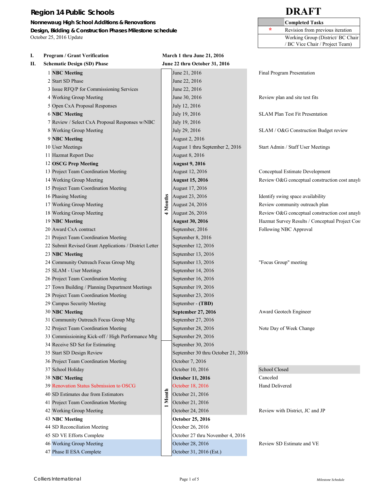**Nonnewaug High School Additions & Renovations Completed Tasks Completed Tasks Design, Bidding & Construction Phases Milestone schedule 1996 1997 1998 1998 1998 1999 1999 1999 1999 1999 1999 1999 1999 1999 1999 1999 1999 1999 1999 1999 1999 1999 1999 1** October 25, 2016 Update Working Group (District/ BC Chair

|    |                                                        |          |                                    | / BC Vice Chair / Project Team)                |
|----|--------------------------------------------------------|----------|------------------------------------|------------------------------------------------|
| I. | <b>Program / Grant Verification</b>                    |          | March 1 thru June 21, 2016         |                                                |
| П. | <b>Schematic Design (SD) Phase</b>                     |          | June 22 thru October 31, 2016      |                                                |
|    | 1 NBC Meeting                                          |          | June 21, 2016                      | Final Program Presentation                     |
|    | 2 Start SD Phase                                       |          | June 22, 2016                      |                                                |
|    | 3 Issue RFQ/P for Commissioning Services               |          | June 22, 2016                      |                                                |
|    | 4 Working Group Meeting                                |          | June 30, 2016                      | Review plan and site test fits                 |
|    | 5 Open CxA Proposal Responses                          |          | July 12, 2016                      |                                                |
|    | <b>6 NBC Meeting</b>                                   |          | July 19, 2016                      | <b>SLAM Plan Test Fit Presentation</b>         |
|    | 7 Review / Select CxA Proposal Responses w/NBC         |          | July 19, 2016                      |                                                |
|    | 8 Working Group Meeting                                |          | July 29, 2016                      | SLAM / O&G Construction Budget review          |
|    | 9 NBC Meeting                                          |          | August 2, 2016                     |                                                |
|    | 10 User Meetings                                       |          | August 1 thru September 2, 2016    | Start Admin / Staff User Meetings              |
|    | 11 Hazmat Report Due                                   |          | August 8, 2016                     |                                                |
|    | 12 OSCG Prep Meeting                                   |          | <b>August 9, 2016</b>              |                                                |
|    | 13 Project Team Coordination Meeting                   |          | August 12, 2016                    | Conceptual Estimate Development                |
|    | 14 Working Group Meeting                               |          | <b>August 15, 2016</b>             | Review O&G conceptual construction cost anayls |
|    | 15 Project Team Coordination Meeting                   |          | August 17, 2016                    |                                                |
|    | 16 Phasing Meeting                                     |          | August 23, 2016                    | Identify swing space availability              |
|    | 17 Working Group Meeting                               | 4 Months | August 24, 2016                    | Review community outreach plan                 |
|    | 18 Working Group Meeting                               |          | August 26, 2016                    | Review O&G conceptual construction cost anayls |
|    | 19 NBC Meeting                                         |          | <b>August 30, 2016</b>             | Hazmat Survey Results / Conceptual Project Cos |
|    | 20 Award CxA contract                                  |          | September, 2016                    | Following NBC Approval                         |
|    | 21 Project Team Coordination Meeting                   |          | September 8, 2016                  |                                                |
|    | 22 Submit Revised Grant Applications / District Letter |          | September 12, 2016                 |                                                |
|    | 23 NBC Meeting                                         |          | September 13, 2016                 |                                                |
|    | 24 Community Outreach Focus Group Mtg                  |          | September 13, 2016                 | "Focus Group" meeting                          |
|    | 25 SLAM - User Meetings                                |          | September 14, 2016                 |                                                |
|    | 26 Project Team Coordination Meeting                   |          | September 16, 2016                 |                                                |
|    | 27 Town Building / Planning Department Meetings        |          | September 19, 2016                 |                                                |
|    | 28 Project Team Coordination Meeting                   |          | September 23, 2016                 |                                                |
|    | 29 Campus Security Meeting                             |          | September - (TBD)                  |                                                |
|    | 30 NBC Meeting                                         |          | September 27, 2016                 | Award Geotech Engineer                         |
|    | 31 Community Outreach Focus Group Mtg                  |          | September 27, 2016                 |                                                |
|    | 32 Project Team Coordination Meeting                   |          | September 28, 2016                 | Note Day of Week Change                        |
|    | 33 Commissioining Kick-off / High Performance Mtg      |          | September 29, 2016                 |                                                |
|    | 34 Receive SD Set for Estimating                       |          | September 30, 2016                 |                                                |
|    | 35 Start SD Design Review                              |          | September 30 thru October 21, 2016 |                                                |
|    | 36 Project Team Coordination Meeting                   |          | October 7, 2016                    |                                                |
|    | 37 School Holiday                                      |          | October 10, 2016                   | School Closed                                  |
|    | <b>38 NBC Meeting</b>                                  |          | <b>October 11, 2016</b>            | Canceled                                       |
|    | 39 Renovation Status Submission to OSCG                |          | October 18, 2016                   | <b>Hand Delivered</b>                          |
|    | 40 SD Estimates due from Estimators                    |          | October 21, 2016                   |                                                |
|    | 41 Project Team Coordination Meeting                   | Month    | October 21, 2016                   |                                                |
|    | 42 Working Group Meeting                               |          | October 24, 2016                   | Review with District, JC and JP                |
|    | 43 NBC Meeting                                         |          | <b>October 25, 2016</b>            |                                                |
|    | 44 SD Reconciliation Meeting                           |          | October 26, 2016                   |                                                |
|    | 45 SD VE Efforts Complete                              |          | October 27 thru November 4, 2016   |                                                |
|    | 46 Working Group Meeting                               |          | October 28, 2016                   | Review SD Estimate and VE                      |
|    | 47 Phase II ESA Complete                               |          | October 31, 2016 (Est.)            |                                                |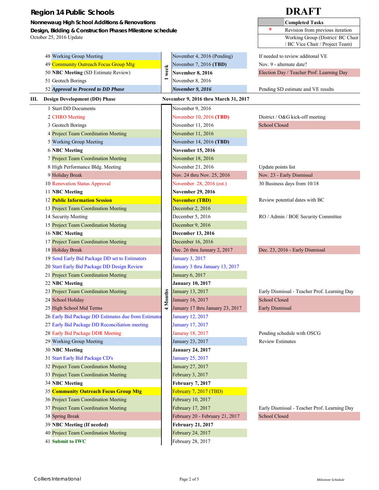| <b>Region 14 Public Schools</b>                          |                          |                                      |                      | <b>DRAFT</b>                                 |  |  |  |  |
|----------------------------------------------------------|--------------------------|--------------------------------------|----------------------|----------------------------------------------|--|--|--|--|
| Nonnewaug High School Additions & Renovations            |                          |                                      |                      | <b>Completed Tasks</b>                       |  |  |  |  |
| Design, Bidding & Construction Phases Milestone schedule |                          |                                      | ÷                    | Revision from previous iteration             |  |  |  |  |
| October 25, 2016 Update                                  |                          |                                      |                      | Working Group (District/ BC Chair            |  |  |  |  |
|                                                          |                          |                                      |                      | / BC Vice Chair / Project Team)              |  |  |  |  |
| 48 Working Group Meeting                                 |                          | November 4, 2016 (Pending)           |                      | If needed to review additonal VE             |  |  |  |  |
| 49 Community Outreach Focus Group Mtg                    |                          | November 7, 2016 (TBD)               |                      | Nov. 9 - alternate date?                     |  |  |  |  |
| 50 NBC Meeting (SD Estimate Review)                      | week                     | <b>November 8, 2016</b>              |                      | Election Day / Teacher Prof. Learning Day    |  |  |  |  |
| 51 Geotech Borings                                       | $\overline{\phantom{0}}$ | November 8, 2016                     |                      |                                              |  |  |  |  |
| 52 Approval to Proceed to DD Phase                       |                          | <b>November 9, 2016</b>              |                      | Pending SD estimate and VE results           |  |  |  |  |
| III. Design Development (DD) Phase                       |                          | November 9, 2016 thru March 31, 2017 |                      |                                              |  |  |  |  |
| 1 Start DD Documents                                     |                          | November 9, 2016                     |                      |                                              |  |  |  |  |
| 2 CHRO Meeting                                           |                          | November 10, 2016 (TBD)              |                      | District / O&G kick-off meeting              |  |  |  |  |
| 3 Geotech Borings                                        |                          | November 11, 2016                    | <b>School Closed</b> |                                              |  |  |  |  |
| 4 Project Team Coordination Meeting                      |                          | November 11, 2016                    |                      |                                              |  |  |  |  |
| 5 Working Group Meeting                                  |                          | November 14, 2016 (TBD)              |                      |                                              |  |  |  |  |
| <b>6 NBC Meeting</b>                                     |                          | <b>November 15, 2016</b>             |                      |                                              |  |  |  |  |
| 7 Project Team Coordination Meeting                      |                          | November 18, 2016                    |                      |                                              |  |  |  |  |
| 8 High Performance Bldg. Meeting                         |                          | November 21, 2016                    |                      | Update points list                           |  |  |  |  |
| 9 Holiday Break                                          |                          | Nov. 24 thru Nov. 25, 2016           |                      | Nov. 23 - Early Dismissal                    |  |  |  |  |
| 10 Renovation Status Approval                            |                          | November 28, 2016 (est.)             |                      | 30 Business days from 10/18                  |  |  |  |  |
| 11 NBC Meeting                                           |                          | <b>November 29, 2016</b>             |                      |                                              |  |  |  |  |
| <b>12 Public Information Session</b>                     |                          | <b>November (TBD)</b>                |                      | Review potential dates with BC               |  |  |  |  |
| 13 Project Team Coordination Meeting                     |                          | December 2, 2016                     |                      |                                              |  |  |  |  |
| 14 Security Meeting                                      |                          | December 5, 2016                     |                      | RO / Admin / BOE Security Committee          |  |  |  |  |
| 15 Project Team Coordination Meeting                     |                          | December 9, 2016                     |                      |                                              |  |  |  |  |
| 16 NBC Meeting                                           |                          | <b>December 13, 2016</b>             |                      |                                              |  |  |  |  |
| 17 Project Team Coordination Meeting                     |                          | December 16, 2016                    |                      |                                              |  |  |  |  |
| 18 Holiday Break                                         |                          | Dec. 26 thru January 2, 2017         |                      | Dec. 23, 2016 - Early Dismissal              |  |  |  |  |
| 19 Send Early Bid Package DD set to Estimators           |                          | January 3, 2017                      |                      |                                              |  |  |  |  |
| 20 Start Early Bid Package DD Design Review              |                          | January 3 thru January 13, 2017      |                      |                                              |  |  |  |  |
| 21 Project Team Coordination Meeting                     |                          | January 6, 2017                      |                      |                                              |  |  |  |  |
| 22 NBC Meeting                                           |                          | January 10, 2017                     |                      |                                              |  |  |  |  |
| 23 Project Team Coordination Meeting                     |                          | January 13, 2017                     |                      | Early Dismissal - Teacher Prof. Learning Day |  |  |  |  |
| 24 School Holiday                                        | <b>Months</b>            | January 16, 2017                     | School Closed        |                                              |  |  |  |  |
| 25 High School Mid Terms                                 | 4                        | January 17 thru January 23, 2017     | Early Dismissal      |                                              |  |  |  |  |
| 26 Early Bid Package DD Estimates due from Estimator     |                          | January 12, 2017                     |                      |                                              |  |  |  |  |
| 27 Early Bid Package DD Reconciliation meeting           |                          | January 17, 2017                     |                      |                                              |  |  |  |  |
| 28 Early Bid Package DDR Meeting                         |                          | Januray 18, 2017                     |                      | Pending schedule with OSCG                   |  |  |  |  |
| 29 Working Group Meeting                                 |                          | January 23, 2017                     |                      | <b>Review Estimates</b>                      |  |  |  |  |
| 30 NBC Meeting                                           |                          | January 24, 2017                     |                      |                                              |  |  |  |  |
| 31 Start Early Bid Package CD's                          |                          | January 25, 2017                     |                      |                                              |  |  |  |  |
| 32 Project Team Coordination Meeting                     |                          | January 27, 2017                     |                      |                                              |  |  |  |  |
| 33 Project Team Coordination Meeting                     |                          | February 3, 2017                     |                      |                                              |  |  |  |  |
| 34 NBC Meeting                                           |                          | <b>February 7, 2017</b>              |                      |                                              |  |  |  |  |
| 35 Community Outreach Focus Group Mtg                    |                          | February 7, 2017 (TBD)               |                      |                                              |  |  |  |  |
| 36 Project Team Coordination Meeting                     |                          | February 10, 2017                    |                      |                                              |  |  |  |  |
| 37 Project Team Coordination Meeting                     |                          | February 17, 2017                    |                      | Early Dismissal - Teacher Prof. Learning Day |  |  |  |  |
| 38 Spring Break                                          |                          | February 20 - February 21, 2017      | School Closed        |                                              |  |  |  |  |
| 39 NBC Meeting (If needed)                               |                          | <b>February 21, 2017</b>             |                      |                                              |  |  |  |  |
| 40 Project Team Coordination Meeting                     |                          | February 24, 2017                    |                      |                                              |  |  |  |  |
| 41 Submit to IWC                                         |                          | February 28, 2017                    |                      |                                              |  |  |  |  |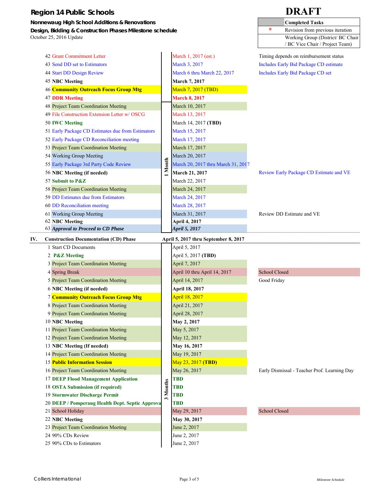**Nonnewaug High School Additions & Renovations** 

**Design, Bidding & Construction Phases Milestone schedule** October 25, 2016 Update

| <b>Completed Tasks</b>           |
|----------------------------------|
| Revision from previous iteration |
| Working Group (District/BC Chair |
| / BC Vice Chair / Project Team)  |

|     | 42 Grant Commitment Letter                                                                                  |             | March 1, 2017 (est.)                 | Timing depends on reimbursement status        |  |  |  |  |  |  |
|-----|-------------------------------------------------------------------------------------------------------------|-------------|--------------------------------------|-----------------------------------------------|--|--|--|--|--|--|
|     | 43 Send DD set to Estimators                                                                                |             | March 3, 2017                        | <b>Includes Early Bid Package CD estimate</b> |  |  |  |  |  |  |
|     | 44 Start DD Design Review                                                                                   |             | March 6 thru March 22, 2017          | Includes Early Bid Package CD set             |  |  |  |  |  |  |
|     | <b>45 NBC Meeting</b>                                                                                       |             | <b>March 7, 2017</b>                 |                                               |  |  |  |  |  |  |
|     | 46 Community Outreach Focus Group Mtg                                                                       |             | March 7, 2017 (TBD)                  |                                               |  |  |  |  |  |  |
|     | <b>47 DDR Meeting</b>                                                                                       |             | <b>March 8, 2017</b>                 |                                               |  |  |  |  |  |  |
|     | 48 Project Team Coordination Meeting                                                                        |             | March 10, 2017                       |                                               |  |  |  |  |  |  |
|     | 49 File Construction Extension Letter w/OSCG                                                                |             | March 13, 2017                       |                                               |  |  |  |  |  |  |
|     | 50 IWC Meeting                                                                                              |             | March 14, 2017 (TBD)                 |                                               |  |  |  |  |  |  |
|     | 51 Early Package CD Estimates due from Estimators                                                           |             | March 15, 2017                       |                                               |  |  |  |  |  |  |
|     | 52 Early Package CD Reconciliation meeting                                                                  |             | March 17, 2017                       |                                               |  |  |  |  |  |  |
|     | 53 Project Team Coordination Meeting                                                                        |             | March 17, 2017                       |                                               |  |  |  |  |  |  |
|     | 54 Working Group Meeting                                                                                    |             | March 20, 2017                       |                                               |  |  |  |  |  |  |
|     | 55 Early Package 3rd Party Code Review                                                                      | Month       | March 20, 2017 thru March 31, 2017   |                                               |  |  |  |  |  |  |
|     | 56 NBC Meeting (if needed)                                                                                  |             | March 21, 2017                       | Review Early Package CD Estimate and VE       |  |  |  |  |  |  |
|     | 57 Submit to P&Z                                                                                            |             | March 22, 2017                       |                                               |  |  |  |  |  |  |
|     | 58 Project Team Coordination Meeting<br>59 DD Estimates due from Estimators<br>60 DD Reconciliation meeting |             | March 24, 2017                       |                                               |  |  |  |  |  |  |
|     |                                                                                                             |             | March 24, 2017                       |                                               |  |  |  |  |  |  |
|     |                                                                                                             |             | March 28, 2017                       |                                               |  |  |  |  |  |  |
|     | 61 Working Group Meeting                                                                                    |             | March 31, 2017                       | Review DD Estimate and VE                     |  |  |  |  |  |  |
|     | 62 NBC Meeting                                                                                              |             | April 4, 2017                        |                                               |  |  |  |  |  |  |
|     | 63 Approval to Proceed to CD Phase                                                                          |             | April 5, 2017                        |                                               |  |  |  |  |  |  |
| IV. | <b>Construction Documentation (CD) Phase</b>                                                                |             | April 5, 2017 thru September 8, 2017 |                                               |  |  |  |  |  |  |
|     | 1 Start CD Documents                                                                                        |             | April 5, 2017                        |                                               |  |  |  |  |  |  |
|     | 2 P&Z Meeting                                                                                               |             | April 5, 2017 (TBD)                  |                                               |  |  |  |  |  |  |
|     | 3 Project Team Coordination Meeting                                                                         |             | April 7, 2017                        |                                               |  |  |  |  |  |  |
|     | 4 Spring Break                                                                                              |             | April 10 thru April 14, 2017         | <b>School Closed</b>                          |  |  |  |  |  |  |
|     | 5 Project Team Coordination Meeting                                                                         |             | April 14, 2017                       | Good Friday                                   |  |  |  |  |  |  |
|     | 6 NBC Meeting (if needed)                                                                                   |             | April 18, 2017                       |                                               |  |  |  |  |  |  |
|     | <b>7 Community Outreach Focus Group Mtg</b>                                                                 |             | April 18, 2017                       |                                               |  |  |  |  |  |  |
|     | 8 Project Team Coordination Meeting                                                                         |             | April 21, 2017                       |                                               |  |  |  |  |  |  |
|     | 9 Project Team Coordination Meeting                                                                         |             | April 28, 2017                       |                                               |  |  |  |  |  |  |
|     | 10 NBC Meeting                                                                                              |             | May 2, 2017                          |                                               |  |  |  |  |  |  |
|     | 11 Project Team Coordination Meeting                                                                        |             | May 5, 2017                          |                                               |  |  |  |  |  |  |
|     | 12 Project Team Coordination Meeting                                                                        |             | May 12, 2017                         |                                               |  |  |  |  |  |  |
|     | 13 NBC Meeting (If needed)                                                                                  |             | May 16, 2017                         |                                               |  |  |  |  |  |  |
|     | 14 Project Team Coordination Meeting                                                                        |             | May 19, 2017                         |                                               |  |  |  |  |  |  |
|     | <b>15 Public Information Session</b>                                                                        |             | May 23, 2017 (TBD)                   |                                               |  |  |  |  |  |  |
|     | 16 Project Team Coordination Meeting                                                                        |             | May 26, 2017                         | Early Dismissal - Teacher Prof. Learning Day  |  |  |  |  |  |  |
|     | <b>17 DEEP Flood Management Application</b>                                                                 | Months<br>3 | <b>TBD</b>                           |                                               |  |  |  |  |  |  |
|     | 18 OSTA Submission (if required)                                                                            |             | <b>TBD</b>                           |                                               |  |  |  |  |  |  |
|     | 19 Stormwater Discharge Permit                                                                              |             | <b>TBD</b>                           |                                               |  |  |  |  |  |  |
|     | 20 DEEP / Pomperaug Health Dept. Septic Approva                                                             |             | TBD                                  | <b>School Closed</b>                          |  |  |  |  |  |  |
|     | 21 School Holiday                                                                                           |             | May 29, 2017                         |                                               |  |  |  |  |  |  |
|     | 22 NBC Meeting                                                                                              |             | May 30, 2017                         |                                               |  |  |  |  |  |  |
|     | 23 Project Team Coordination Meeting                                                                        |             | June 2, 2017                         |                                               |  |  |  |  |  |  |
|     | 24 90% CDs Review                                                                                           |             | June 2, 2017                         |                                               |  |  |  |  |  |  |
|     | 25 90% CDs to Estimators                                                                                    |             | June 2, 2017                         |                                               |  |  |  |  |  |  |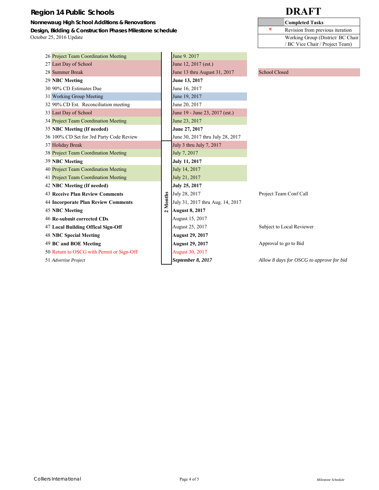**Nonnewaug High School Additions & Renovations Design, Bidding & Construction Phases Milestone schedule** October 25, 2016 Update

|   | <b>Completed Tasks</b>            |
|---|-----------------------------------|
| ÷ | Revision from previous iteration  |
|   | Working Group (District/ BC Chair |
|   | / BC Vice Chair / Project Team)   |

| 26 Project Team Coordination Meeting       |          | June 9. 2017                     |                                          |
|--------------------------------------------|----------|----------------------------------|------------------------------------------|
| 27 Last Day of School                      |          | June 12, 2017 (est.)             |                                          |
| 28 Summer Break                            |          | June 13 thru August 31, 2017     | <b>School Closed</b>                     |
| 29 NBC Meeting                             |          | June 13, 2017                    |                                          |
| 30 90% CD Estimates Due                    |          | June 16, 2017                    |                                          |
| 31 Working Group Meeting                   |          | June 19, 2017                    |                                          |
| 32 90% CD Est. Reconciliation meeting      |          | June 20, 2017                    |                                          |
| 33 Last Day of School                      |          | June 19 - June 23, 2017 (est.)   |                                          |
| 34 Project Team Coordination Meeting       |          | June 23, 2017                    |                                          |
| 35 NBC Meeting (If needed)                 |          | June 27, 2017                    |                                          |
| 36 100% CD Set for 3rd Party Code Review   |          | June 30, 2017 thru July 28, 2017 |                                          |
| 37 Holiday Break                           |          | July 3 thru July 7, 2017         |                                          |
| 38 Project Team Coordination Meeting       |          | July 7, 2017                     |                                          |
| 39 NBC Meeting                             |          | <b>July 11, 2017</b>             |                                          |
| 40 Project Team Coordination Meeting       |          | July 14, 2017                    |                                          |
| 41 Project Team Coordination Meeting       |          | July 21, 2017                    |                                          |
| 42 NBC Meeting (If needed)                 |          | July 25, 2017                    |                                          |
| <b>43 Receive Plan Review Comments</b>     |          | July 28, 2017                    | Project Team Conf Call                   |
| <b>44 Incorporate Plan Review Comments</b> | 2 Months | July 31, 2017 thru Aug. 14, 2017 |                                          |
| <b>45 NBC Meeting</b>                      |          | <b>August 8, 2017</b>            |                                          |
| 46 Re-submit corrected CDs                 |          | August 15, 2017                  |                                          |
| 47 Local Building Offical Sign-Off         |          | August 25, 2017                  | Subject to Local Reviewer                |
| <b>48 NBC Special Meeting</b>              |          | <b>August 29, 2017</b>           |                                          |
| 49 BC and BOE Meeting                      |          | <b>August 29, 2017</b>           | Approval to go to Bid                    |
| 50 Return to OSCG with Permit or Sign-Off  |          | <b>August 30, 2017</b>           |                                          |
| 51 Advertise Project                       |          | September 8, 2017                | Allow 8 days for OSCG to approve for bid |
|                                            |          |                                  |                                          |